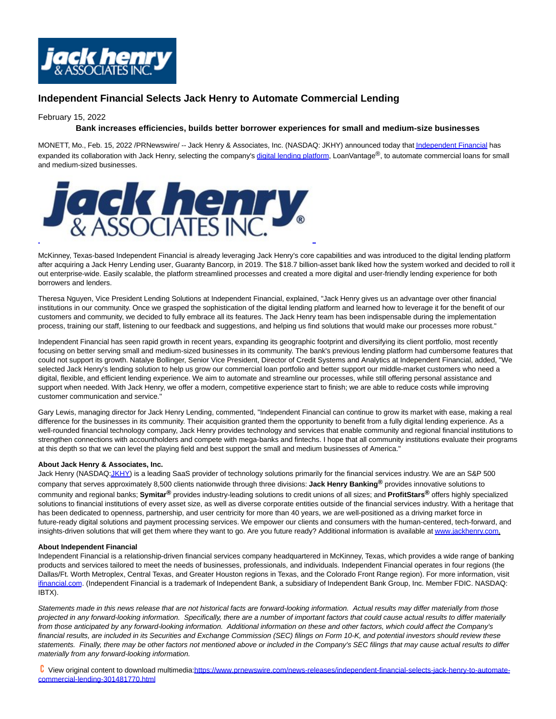

# **Independent Financial Selects Jack Henry to Automate Commercial Lending**

# February 15, 2022

# **Bank increases efficiencies, builds better borrower experiences for small and medium-size businesses**

MONETT, Mo., Feb. 15, 2022 /PRNewswire/ -- Jack Henry & Associates, Inc. (NASDAQ: JKHY) announced today tha[t Independent Financial h](https://c212.net/c/link/?t=0&l=en&o=3443019-1&h=2612792481&u=https%3A%2F%2Fwww.independent-bank.com%2F&a=Independent+Financial)as expanded its collaboration with Jack Henry, selecting the company's [digital lending platform,](https://c212.net/c/link/?t=0&l=en&o=3443019-1&h=3979632013&u=https%3A%2F%2Fdiscover.jackhenry.com%2Flending&a=digital+lending+platform) LoanVantage®, to automate commercial loans for small and medium-sized businesses.



McKinney, Texas-based Independent Financial is already leveraging Jack Henry's core capabilities and was introduced to the digital lending platform after acquiring a Jack Henry Lending user, Guaranty Bancorp, in 2019. The \$18.7 billion-asset bank liked how the system worked and decided to roll it out enterprise-wide. Easily scalable, the platform streamlined processes and created a more digital and user-friendly lending experience for both borrowers and lenders.

Theresa Nguyen, Vice President Lending Solutions at Independent Financial, explained, "Jack Henry gives us an advantage over other financial institutions in our community. Once we grasped the sophistication of the digital lending platform and learned how to leverage it for the benefit of our customers and community, we decided to fully embrace all its features. The Jack Henry team has been indispensable during the implementation process, training our staff, listening to our feedback and suggestions, and helping us find solutions that would make our processes more robust."

Independent Financial has seen rapid growth in recent years, expanding its geographic footprint and diversifying its client portfolio, most recently focusing on better serving small and medium-sized businesses in its community. The bank's previous lending platform had cumbersome features that could not support its growth. Natalye Bollinger, Senior Vice President, Director of Credit Systems and Analytics at Independent Financial, added, "We selected Jack Henry's lending solution to help us grow our commercial loan portfolio and better support our middle-market customers who need a digital, flexible, and efficient lending experience. We aim to automate and streamline our processes, while still offering personal assistance and support when needed. With Jack Henry, we offer a modern, competitive experience start to finish; we are able to reduce costs while improving customer communication and service."

Gary Lewis, managing director for Jack Henry Lending, commented, "Independent Financial can continue to grow its market with ease, making a real difference for the businesses in its community. Their acquisition granted them the opportunity to benefit from a fully digital lending experience. As a well-rounded financial technology company, Jack Henry provides technology and services that enable community and regional financial institutions to strengthen connections with accountholders and compete with mega-banks and fintechs. I hope that all community institutions evaluate their programs at this depth so that we can level the playing field and best support the small and medium businesses of America."

### **About Jack Henry & Associates, Inc.**

Jack Henry (NASDA[Q:JKHY\)](https://c212.net/c/link/?t=0&l=en&o=3443019-1&h=525744010&u=http%3A%2F%2Fwww.nasdaq.com%2Fsymbol%2Fjkhy&a=JKHY) is a leading SaaS provider of technology solutions primarily for the financial services industry. We are an S&P 500 company that serves approximately 8,500 clients nationwide through three divisions: **Jack Henry Banking®** provides innovative solutions to community and regional banks; **Symitar®** provides industry-leading solutions to credit unions of all sizes; and **ProfitStars®** offers highly specialized solutions to financial institutions of every asset size, as well as diverse corporate entities outside of the financial services industry. With a heritage that has been dedicated to openness, partnership, and user centricity for more than 40 years, we are well-positioned as a driving market force in future-ready digital solutions and payment processing services. We empower our clients and consumers with the human-centered, tech-forward, and insights-driven solutions that will get them where they want to go. Are you future ready? Additional information is available a[t www.jackhenry.com.](https://c212.net/c/link/?t=0&l=en&o=3443019-1&h=3397994186&u=http%3A%2F%2Fwww.jackhenry.com%2F&a=www.jackhenry.com)

### **About Independent Financial**

Independent Financial is a relationship-driven financial services company headquartered in McKinney, Texas, which provides a wide range of banking products and services tailored to meet the needs of businesses, professionals, and individuals. Independent Financial operates in four regions (the Dallas/Ft. Worth Metroplex, Central Texas, and Greater Houston regions in Texas, and the Colorado Front Range region). For more information, visit [ifinancial.com.](https://c212.net/c/link/?t=0&l=en&o=3443019-1&h=3940810546&u=http%3A%2F%2Fwww.ifinancial.com%2F&a=ifinancial.com) (Independent Financial is a trademark of Independent Bank, a subsidiary of Independent Bank Group, Inc. Member FDIC. NASDAQ: IBTX).

Statements made in this news release that are not historical facts are forward-looking information. Actual results may differ materially from those projected in any forward-looking information. Specifically, there are a number of important factors that could cause actual results to differ materially from those anticipated by any forward-looking information. Additional information on these and other factors, which could affect the Company's financial results, are included in its Securities and Exchange Commission (SEC) filings on Form 10-K, and potential investors should review these statements. Finally, there may be other factors not mentioned above or included in the Company's SEC filings that may cause actual results to differ materially from any forward-looking information.

 View original content to download multimedia[:https://www.prnewswire.com/news-releases/independent-financial-selects-jack-henry-to-automate](https://www.prnewswire.com/news-releases/independent-financial-selects-jack-henry-to-automate-commercial-lending-301481770.html)commercial-lending-301481770.html